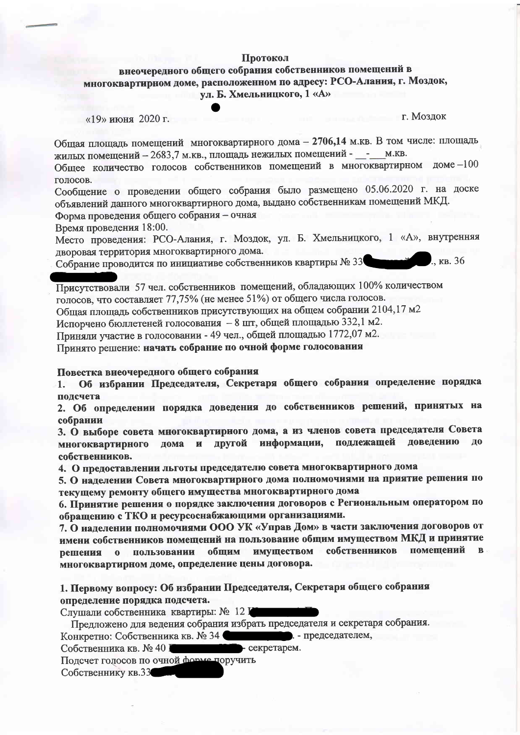#### Протокол

# внеочередного общего собрания собственников помещений в многоквартирном доме, расположенном по адресу: РСО-Алания, г. Моздок, ул. Б. Хмельницкого, 1 «А»

г. Моздок

 $K_{\rm B}$ , 36

Общая площадь помещений многоквартирного дома - 2706,14 м. кв. В том числе: площадь жилых помещений - 2683,7 м. кв., площадь нежилых помещений - - м. кв.

Общее количество голосов собственников помещений в многоквартирном доме -100 голосов.

Сообщение о проведении общего собрания было размещено 05.06.2020 г. на доске объявлений данного многоквартирного дома, выдано собственникам помещений МКД. Форма проведения общего собрания - очная

Время проведения 18:00.

Место проведения: РСО-Алания, г. Моздок, ул. Б. Хмельницкого, 1 «А», внутренняя дворовая территория многоквартирного дома.

Собрание проводится по инициативе собственников квартиры № 33

Присутствовали 57 чел. собственников помещений, обладающих 100% количеством голосов, что составляет 77,75% (не менее 51%) от общего числа голосов.

Общая площадь собственников присутствующих на общем собрании 2104,17 м2

Испорчено бюллетеней голосования - 8 шт, общей площадью 332,1 м2.

Приняли участие в голосовании - 49 чел., общей площадью 1772,07 м2.

Принято решение: начать собрание по очной форме голосования

Повестка внеочередного общего собрания

Об избрании Председателя, Секретаря общего собрания определение порядка  $1.$ подсчета

2. Об определении порядка доведения до собственников решений, принятых на собрании

3. О выборе совета многоквартирного дома, а из членов совета председателя Совета информации, подлежащей ловедению ло многоквартирного дома и другой собственников.

4. О предоставлении льготы председателю совета многоквартирного дома

5. О наделении Совета многоквартирного дома полномочиями на приятие решения по текущему ремонту общего имущества многоквартирного дома

6. Принятие решения о порядке заключения договоров с Региональным оператором по обращению с ТКО и ресурсоснабжающими организациями.

7. О наделении полномочиями ООО УК «Управ Дом» в части заключения договоров от имени собственников помещений на пользование общим имуществом МКД и принятие собственников помещений имуществом пользовании обшим решения  $\mathbf{o}$ многоквартирном доме, определение цены договора.

1. Первому вопросу: Об избрании Председателя, Секретаря общего собрания определение порядка подсчета.

Слушали собственника квартиры: № 12 Г

Предложено для ведения собрания избрать председателя и секретаря собрания.

председателем, Конкретно: Собственника кв. № 34

- секретарем. Собственника кв. № 40 I

Подсчет голосов по очной форме поручить

Собственнику кв.33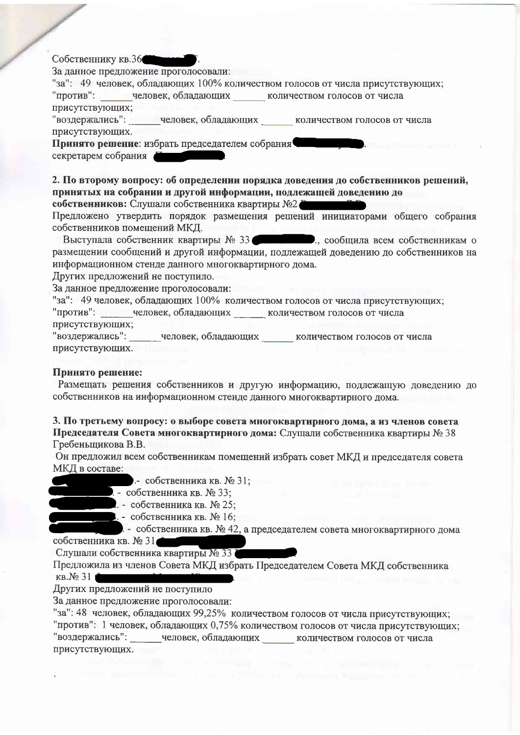## Собственнику кв.36

За данное предложение проголосовали:

"за": 49 человек, обладающих 100% количеством голосов от числа присутствующих;

"против": человек, обладающих количеством голосов от числа присутствующих;

"воздержались": человек, обладающих количеством голосов от числа присутствующих.

Принято решение: избрать председателем собрания секретарем собрания

2. По второму вопросу: об определении порядка доведения до собственников решений, принятых на собрании и другой информации, подлежащей доведению до

собственников: Слушали собственника квартиры №2

Предложено утвердить порядок размещения решений инициаторами общего собрания собственников помещений МКД.

Выступала собственник квартиры № 33 В Полета В., сообщила всем собственникам о размещении сообщений и другой информации, подлежащей доведению до собственников на информационном стенде данного многоквартирного лома.

Других предложений не поступило.

За данное предложение проголосовали:

"за": 49 человек, обладающих 100% количеством голосов от числа присутствующих; "против": человек, обладающих количеством голосов от числа присутствующих;

"воздержались": человек, обладающих количеством голосов от числа присутствующих.

#### Принято решение:

Размещать решения собственников и другую информацию, подлежащую доведению до собственников на информационном стенде данного многоквартирного дома.

### 3. По третьему вопросу: о выборе совета многоквартирного дома, а из членов совета Председателя Совета многоквартирного дома: Слушали собственника квартиры № 38 Гребеньщикова В.В.

Он предложил всем собственникам помещений избрать совет МКД и председателя совета МКД в составе:

- собственника кв. № 31;

- собственника кв. № 33;
	- . собственника кв. № 25;
		-
	- . собственника кв. № 16;

- собственника кв. № 42, а председателем совета многоквартирного дома собственника кв. № 31

Слушали собственника квартиры № 33

Предложила из членов Совета МКД избрать Председателем Совета МКД собственника  $KB.N231$ 

Других предложений не поступило

За данное предложение проголосовали:

"за": 48 человек, обладающих 99,25% количеством голосов от числа присутствующих; "против": 1 человек, обладающих 0,75% количеством голосов от числа присутствующих; "воздержались": человек, обладающих количеством голосов от числа присутствующих.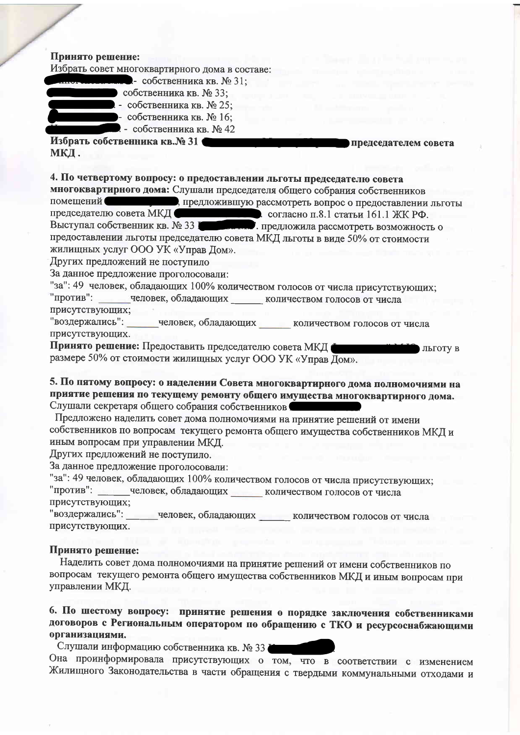### Принято решение:

Избрать совет многоквартирного дома в составе:



- собственника кв. № 31: • собственника кв. № 33;
	- собственника кв. № 25;
- собственника кв. № 16;
- собственника кв. № 42
	-

Избрать собственника кв.№ 31 МКЛ.

4. По четвертому вопросу: о предоставлении льготы председателю совета

многоквартирного дома: Слушали председателя общего собрания собственников помещений (предложившую рассмотреть вопрос о предоставлении льготы председателю совета МКД стать согласно п.8.1 статьи 161.1 ЖК РФ.<br>Выступал собственник кв. № 33 Г предложила рассмотреть возможность о предоставлении льготы председателю совета МКД льготы в виде 50% от стоимости жилищных услуг ООО УК «Управ Дом».

председателем совета

Других предложений не поступило

За данное предложение проголосовали:

"за": 49 человек, обладающих 100% количеством голосов от числа присутствующих; "против": человек, обладающих количеством голосов от числа присутствующих;

"воздержались": человек, обладающих количеством голосов от числа присутствующих.

Принято решение: Предоставить председателю совета МКД ПОТУ В размере 50% от стоимости жилищных услуг ООО УК «Управ Дом».

5. По пятому вопросу: о наделении Совета многоквартирного дома полномочиями на приятие решения по текущему ремонту общего имущества многоквартирного дома. Слушали секретаря общего собрания собственников

Предложено наделить совет дома полномочиями на принятие решений от имени собственников по вопросам текущего ремонта общего имущества собственников МКД и иным вопросам при управлении МКД.

Других предложений не поступило.

За данное предложение проголосовали:

"за": 49 человек, обладающих 100% количеством голосов от числа присутствующих; "против": человек, обладающих количеством голосов от числа присутствующих:

"воздержались": человек, обладающих количеством голосов от числа присутствующих.

## Принято решение:

Наделить совет дома полномочиями на принятие решений от имени собственников по вопросам текущего ремонта общего имущества собственников МКД и иным вопросам при управлении МКД.

6. По шестому вопросу: принятие решения о порядке заключения собственниками договоров с Региональным оператором по обращению с ТКО и ресурсоснабжающими организациями.

Слушали информацию собственника кв. № 33

Она проинформировала присутствующих о том, что в соответствии с изменением Жилищного Законодательства в части обращения с твердыми коммунальными отходами и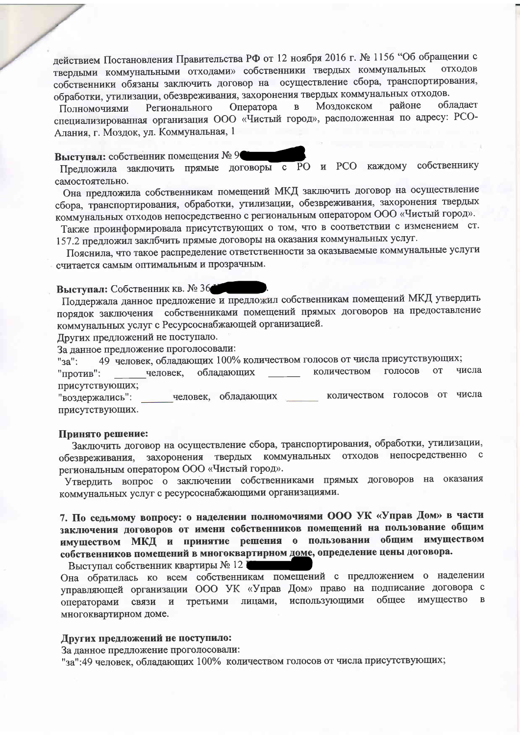действием Постановления Правительства РФ от 12 ноября 2016 г. № 1156 "Об обращении с твердыми коммунальными отходами» собственники твердых коммунальных отходов собственники обязаны заключить договор на осуществление сбора, транспортирования, обработки, утилизации, обезвреживания, захоронения твердых коммунальных отходов.

Моздокском районе облалает Оператора  $\overline{B}$ Регионального Полномочиями специализированная организация ООО «Чистый город», расположенная по адресу: РСО-Алания, г. Моздок, ул. Коммунальная, 1

Выступал: собственник помещения № 9

Предложила заключить прямые договоры с РО и РСО каждому собственнику самостоятельно.

Она предложила собственникам помещений МКД заключить договор на осуществление сбора, транспортирования, обработки, утилизации, обезвреживания, захоронения твердых коммунальных отходов непосредственно с региональным оператором ООО «Чистый город».

Также проинформировала присутствующих о том, что в соответствии с изменением ст. 157.2 предложил заклбчить прямые договоры на оказания коммунальных услуг.

Пояснила, что такое распределение ответственности за оказываемые коммунальные услуги считается самым оптимальным и прозрачным.

Выступал: Собственник кв. № 36

Поддержала данное предложение и предложил собственникам помещений МКД утвердить порядок заключения собственниками помещений прямых договоров на предоставление коммунальных услуг с Ресурсоснабжающей организацией.

Других предложений не поступало.

За ланное предложение проголосовали:

49 человек, обладающих 100% количеством голосов от числа присутствующих;  $"3a"$ :

голосов числа количеством **OT** человек. обладающих "против": присутствующих;

человек, обладающих количеством голосов от числа "воздержались": присутствующих.

#### Принято решение:

Заключить договор на осуществление сбора, транспортирования, обработки, утилизации, обезвреживания, захоронения твердых коммунальных отходов непосредственно с региональным оператором ООО «Чистый город».

Утвердить вопрос о заключении собственниками прямых договоров на оказания коммунальных услуг с ресурсоснабжающими организациями.

7. По седьмому вопросу: о наделении полномочиями ООО УК «Управ Дом» в части заключения договоров от имени собственников помещений на пользование общим имуществом МКД и принятие решения о пользовании общим имуществом собственников помещений в многоквартирном доме, определение цены договора.

Выступал собственник квартиры № 12

Она обратилась ко всем собственникам помещений с предложением о наделении управляющей организации ООО УК «Управ Дом» право на подписание договора с общее имущество  $\overline{B}$ использующими третьими лицами, операторами связи  $\mathbf{M}$ многоквартирном доме.

### Других предложений не поступило:

За данное предложение проголосовали:

"за":49 человек, обладающих 100% количеством голосов от числа присутствующих;